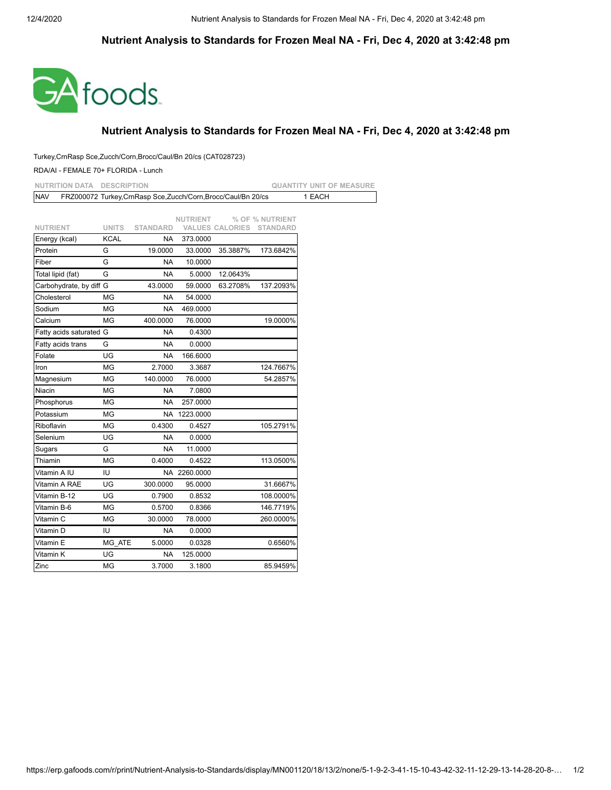## **Nutrient Analysis to Standards for Frozen Meal NA - Fri, Dec 4, 2020 at 3:42:48 pm**



## **Nutrient Analysis to Standards for Frozen Meal NA - Fri, Dec 4, 2020 at 3:42:48 pm**

## Turkey,CrnRasp Sce,Zucch/Corn,Brocc/Caul/Bn 20/cs (CAT028723)

## RDA/AI - FEMALE 70+ FLORIDA - Lunch

| <b>NUTRITION DATA</b><br><b>DESCRIPTION</b> |              |                                                                |              |                        |                 | <b>QUANTITY UNIT OF MEASURE</b> |  |
|---------------------------------------------|--------------|----------------------------------------------------------------|--------------|------------------------|-----------------|---------------------------------|--|
| <b>NAV</b>                                  |              | FRZ000072 Turkey, CrnRasp Sce, Zucch/Corn, Brocc/Caul/Bn 20/cs |              |                        |                 | 1 EACH                          |  |
|                                             |              |                                                                |              |                        |                 |                                 |  |
|                                             | <b>UNITS</b> |                                                                | NUTRIENT     |                        | % OF % NUTRIENT |                                 |  |
| <b>NUTRIENT</b><br>Energy (kcal)            | <b>KCAL</b>  | <b>STANDARD</b><br><b>NA</b>                                   | 373.0000     | <b>VALUES CALORIES</b> | <b>STANDARD</b> |                                 |  |
| Protein                                     | G            | 19.0000                                                        | 33.0000      | 35.3887%               | 173.6842%       |                                 |  |
| Fiber                                       | G            | <b>NA</b>                                                      | 10.0000      |                        |                 |                                 |  |
| Total lipid (fat)                           | G            | <b>NA</b>                                                      | 5.0000       | 12.0643%               |                 |                                 |  |
| Carbohydrate, by diff G                     |              | 43.0000                                                        | 59.0000      | 63.2708%               | 137.2093%       |                                 |  |
| Cholesterol                                 | MG           | <b>NA</b>                                                      | 54.0000      |                        |                 |                                 |  |
| Sodium                                      | MG           | NA                                                             | 469.0000     |                        |                 |                                 |  |
| Calcium                                     | <b>MG</b>    | 400.0000                                                       | 76.0000      |                        | 19.0000%        |                                 |  |
| Fatty acids saturated G                     |              | <b>NA</b>                                                      | 0.4300       |                        |                 |                                 |  |
| Fatty acids trans                           | G            | <b>NA</b>                                                      | 0.0000       |                        |                 |                                 |  |
| Folate                                      | UG           | <b>NA</b>                                                      | 166.6000     |                        |                 |                                 |  |
| Iron                                        | MG           | 2.7000                                                         | 3.3687       |                        | 124.7667%       |                                 |  |
| Magnesium                                   | MG           | 140.0000                                                       | 76.0000      |                        | 54.2857%        |                                 |  |
| Niacin                                      | MG           | <b>NA</b>                                                      | 7.0800       |                        |                 |                                 |  |
| Phosphorus                                  | MG           | <b>NA</b>                                                      | 257.0000     |                        |                 |                                 |  |
| Potassium                                   | MG           |                                                                | NA 1223.0000 |                        |                 |                                 |  |
| Riboflavin                                  | MG           | 0.4300                                                         | 0.4527       |                        | 105.2791%       |                                 |  |
| Selenium                                    | UG           | <b>NA</b>                                                      | 0.0000       |                        |                 |                                 |  |
| Sugars                                      | G            | NA                                                             | 11.0000      |                        |                 |                                 |  |
| Thiamin                                     | MG           | 0.4000                                                         | 0.4522       |                        | 113.0500%       |                                 |  |
| Vitamin A IU                                | IU           |                                                                | NA 2260.0000 |                        |                 |                                 |  |
| Vitamin A RAE                               | UG           | 300.0000                                                       | 95.0000      |                        | 31.6667%        |                                 |  |
| Vitamin B-12                                | UG           | 0.7900                                                         | 0.8532       |                        | 108.0000%       |                                 |  |
| Vitamin B-6                                 | MG           | 0.5700                                                         | 0.8366       |                        | 146.7719%       |                                 |  |
| Vitamin C                                   | MG           | 30.0000                                                        | 78.0000      |                        | 260.0000%       |                                 |  |
| Vitamin D                                   | IU           | NA                                                             | 0.0000       |                        |                 |                                 |  |
| Vitamin E                                   | MG ATE       | 5.0000                                                         | 0.0328       |                        | 0.6560%         |                                 |  |
| Vitamin K                                   | UG           | <b>NA</b>                                                      | 125.0000     |                        |                 |                                 |  |
| Zinc                                        | ΜG           | 3.7000                                                         | 3.1800       |                        | 85.9459%        |                                 |  |
|                                             |              |                                                                |              |                        |                 |                                 |  |